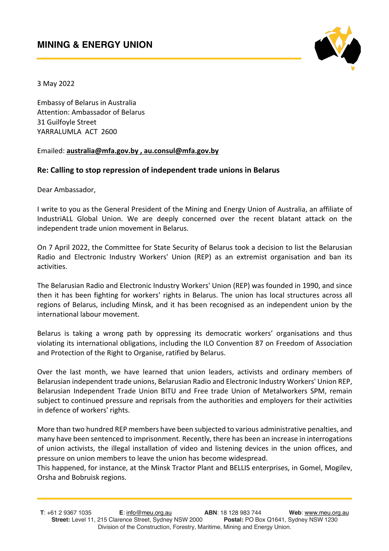

3 May 2022

Embassy of Belarus in Australia Attention: Ambassador of Belarus 31 Guilfoyle Street YARRALUMLA ACT 2600

## Emailed: **australia@mfa.gov.by , au.consul@mfa.gov.by**

## **Re: Calling to stop repression of independent trade unions in Belarus**

Dear Ambassador,

I write to you as the General President of the Mining and Energy Union of Australia, an affiliate of IndustriALL Global Union. We are deeply concerned over the recent blatant attack on the independent trade union movement in Belarus.

On 7 April 2022, the Committee for State Security of Belarus took a decision to list the Belarusian Radio and Electronic Industry Workers' Union (REP) as an extremist organisation and ban its activities.

The Belarusian Radio and Electronic Industry Workers' Union (REP) was founded in 1990, and since then it has been fighting for workers' rights in Belarus. The union has local structures across all regions of Belarus, including Minsk, and it has been recognised as an independent union by the international labour movement.

Belarus is taking a wrong path by oppressing its democratic workers' organisations and thus violating its international obligations, including the ILO Convention 87 on Freedom of Association and Protection of the Right to Organise, ratified by Belarus.

Over the last month, we have learned that union leaders, activists and ordinary members of Belarusian independent trade unions, Belarusian Radio and Electronic Industry Workers' Union REP, Belarusian Independent Trade Union BITU and Free trade Union of Metalworkers SPM, remain subject to continued pressure and reprisals from the authorities and employers for their activities in defence of workers' rights.

More than two hundred REP members have been subjected to various administrative penalties, and many have been sentenced to imprisonment. Recently, there has been an increase in interrogations of union activists, the illegal installation of video and listening devices in the union offices, and pressure on union members to leave the union has become widespread.

This happened, for instance, at the Minsk Tractor Plant and BELLIS enterprises, in Gomel, Mogilev, Orsha and Bobruisk regions.